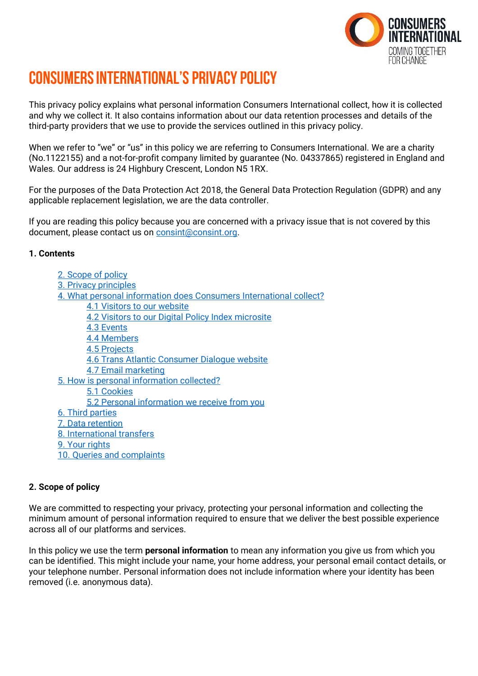

# **CONSUMERS INTERNATIONAL'S PRIVACY POLICY**

This privacy policy explains what personal information Consumers International collect, how it is collected and why we collect it. It also contains information about our data retention processes and details of the third-party providers that we use to provide the services outlined in this privacy policy.

When we refer to "we" or "us" in this policy we are referring to Consumers International. We are a charity (No.1122155) and a not-for-profit company limited by guarantee (No. 04337865) registered in England and Wales. Our address is 24 Highbury Crescent, London N5 1RX.

For the purposes of the Data Protection Act 2018, the General Data Protection Regulation (GDPR) and any applicable replacement legislation, we are the data controller.

If you are reading this policy because you are concerned with a privacy issue that is not covered by this document, please contact us on [consint@consint.org.](mailto:consint@consint.org)

#### **1. Contents**

<span id="page-0-1"></span>[2. Scope of policy](#page-0-0) [3. Privacy principles](#page-1-0) 4. What personal information [does Consumers International collect?](#page-1-1) [4.1 Visitors to our website](#page-1-2) [4.2 Visitors to our Digital Policy Index microsite](#page-2-0) [4.3 Events](#page-2-1) [4.4 Members](#page-2-2) [4.5 Projects](#page-3-0) 4.6 Trans Atlantic Consumer Dialogue website [4.7 Email marketing](#page-3-1) [5. How is personal information collected?](#page-3-2) [5.1 Cookies](#page-3-3) [5.2 Personal information](#page-0-1) we receive from you [6. Third parties](#page-4-0) [7. Data retention](#page-6-0) [8. International transfers](#page-6-1) [9. Your rights](#page-6-2) [10. Queries and complaints](#page-7-0)

## <span id="page-0-0"></span>**2. Scope of policy**

We are committed to respecting your privacy, protecting your personal information and collecting the minimum amount of personal information required to ensure that we deliver the best possible experience across all of our platforms and services.

In this policy we use the term **personal information** to mean any information you give us from which you can be identified. This might include your name, your home address, your personal email contact details, or your telephone number. Personal information does not include information where your identity has been removed (i.e. anonymous data).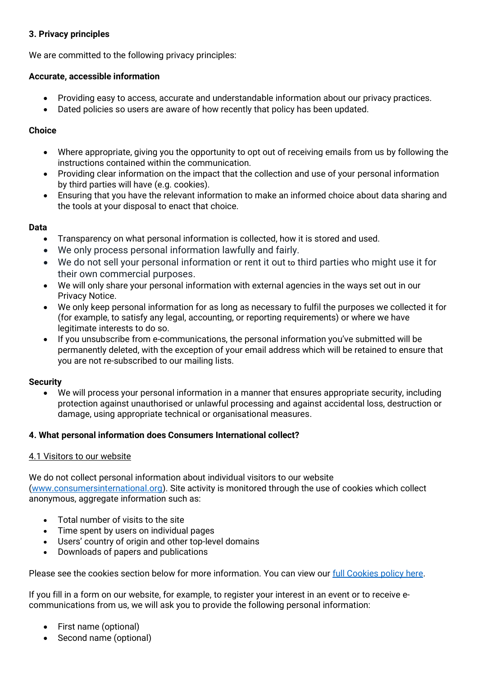## <span id="page-1-0"></span>**3. Privacy principles**

We are committed to the following privacy principles:

#### **Accurate, accessible information**

- Providing easy to access, accurate and understandable information about our privacy practices.
- Dated policies so users are aware of how recently that policy has been updated.

### **Choice**

- Where appropriate, giving you the opportunity to opt out of receiving emails from us by following the instructions contained within the communication.
- Providing clear information on the impact that the collection and use of your personal information by third parties will have (e.g. cookies).
- Ensuring that you have the relevant information to make an informed choice about data sharing and the tools at your disposal to enact that choice.

## **Data**

- Transparency on what personal information is collected, how it is stored and used.
- We only process personal information lawfully and fairly.
- We do not sell your personal information or rent it out to third parties who might use it for their own commercial purposes.
- We will only share your personal information with external agencies in the ways set out in our Privacy Notice.
- We only keep personal information for as long as necessary to fulfil the purposes we collected it for (for example, to satisfy any legal, accounting, or reporting requirements) or where we have legitimate interests to do so.
- If you unsubscribe from e-communications, the personal information you've submitted will be permanently deleted, with the exception of your email address which will be retained to ensure that you are not re-subscribed to our mailing lists.

## **Security**

• We will process your personal information in a manner that ensures appropriate security, including protection against unauthorised or unlawful processing and against accidental loss, destruction or damage, using appropriate technical or organisational measures.

## <span id="page-1-1"></span>**4. What personal information does Consumers International collect?**

#### <span id="page-1-2"></span>4.1 Visitors to our website

We do not collect personal information about individual visitors to our website [\(www.consumersinternational.org\)](http://www.consumersinternational.org/). Site activity is monitored through the use of cookies which collect anonymous, aggregate information such as:

- Total number of visits to the site
- Time spent by users on individual pages
- Users' country of origin and other top-level domains
- Downloads of papers and publications

Please see the cookies section below for more information. You can view our [full Cookies policy here.](https://www.consumersinternational.org/media/155121/cookiespolicy.pdf)

If you fill in a form on our website, for example, to register your interest in an event or to receive ecommunications from us, we will ask you to provide the following personal information:

- First name (optional)
- Second name (optional)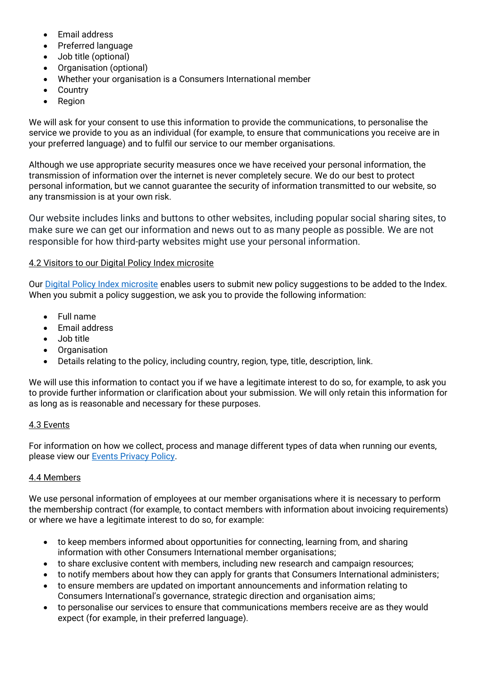- Email address
- Preferred language
- Job title (optional)
- Organisation (optional)
- Whether your organisation is a Consumers International member
- Country
- Region

We will ask for your consent to use this information to provide the communications, to personalise the service we provide to you as an individual (for example, to ensure that communications you receive are in your preferred language) and to fulfil our service to our member organisations.

Although we use appropriate security measures once we have received your personal information, the transmission of information over the internet is never completely secure. We do our best to protect personal information, but we cannot guarantee the security of information transmitted to our website, so any transmission is at your own risk.

Our website includes links and buttons to other websites, including popular social sharing sites, to make sure we can get our information and news out to as many people as possible. We are not responsible for how third-party websites might use your personal information.

## <span id="page-2-0"></span>4.2 Visitors to our Digital Policy Index microsite

Our **Digital Policy Index microsite enables users to submit new policy suggestions to be added to the Index.** When you submit a policy suggestion, we ask you to provide the following information:

- Full name
- Email address
- Job title
- Organisation
- Details relating to the policy, including country, region, type, title, description, link.

We will use this information to contact you if we have a legitimate interest to do so, for example, to ask you to provide further information or clarification about your submission. We will only retain this information for as long as is reasonable and necessary for these purposes.

## <span id="page-2-1"></span>4.3 Events

For information on how we collect, process and manage different types of data when running our events, please view our [Events Privacy Policy.](https://www.consumersinternational.org/media/261886/event-privacy-policy.pdf)

## <span id="page-2-2"></span>4.4 Members

We use personal information of employees at our member organisations where it is necessary to perform the membership contract (for example, to contact members with information about invoicing requirements) or where we have a legitimate interest to do so, for example:

- to keep members informed about opportunities for connecting, learning from, and sharing information with other Consumers International member organisations;
- to share exclusive content with members, including new research and campaign resources;
- to notify members about how they can apply for grants that Consumers International administers;
- to ensure members are updated on important announcements and information relating to Consumers International's governance, strategic direction and organisation aims;
- to personalise our services to ensure that communications members receive are as they would expect (for example, in their preferred language).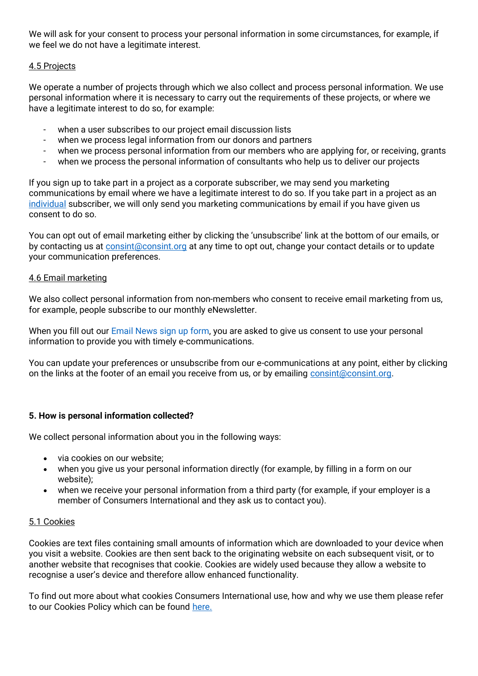We will ask for your consent to process your personal information in some circumstances, for example, if we feel we do not have a legitimate interest.

### <span id="page-3-0"></span>4.5 Projects

We operate a number of projects through which we also collect and process personal information. We use personal information where it is necessary to carry out the requirements of these projects, or where we have a legitimate interest to do so, for example:

- when a user subscribes to our project email discussion lists
- when we process legal information from our donors and partners
- when we process personal information from our members who are applying for, or receiving, grants
- when we process the personal information of consultants who help us to deliver our projects

If you sign up to take part in a project as a corporate subscriber, we may send you marketing communications by email where we have a legitimate interest to do so. If you take part in a project as an [individual](https://ico.org.uk/for-organisations/guide-to-pecr/key-concepts-and-definitions/#corporatesubscribers) subscriber, we will only send you marketing communications by email if you have given us consent to do so.

You can opt out of email marketing either by clicking the 'unsubscribe' link at the bottom of our emails, or by contacting us at [consint@consint.org](mailto:consint@consint.org) at any time to opt out, change your contact details or to update your communication preferences.

#### <span id="page-3-1"></span>4.6 Email marketing

We also collect personal information from non-members who consent to receive email marketing from us, for example, people subscribe to our monthly eNewsletter.

When you fill out our [Email News sign up form,](http://consumersinternational.us14.list-manage1.com/subscribe?u=253609e664fbef96d36120b08&id=eab7ec67e5) you are asked to give us consent to use your personal information to provide you with timely e-communications.

You can update your preferences or unsubscribe from our e-communications at any point, either by clicking on the links at the footer of an email you receive from us, or by emailing [consint@consint.org.](mailto:consint@consint.org)

#### <span id="page-3-2"></span>**5. How is personal information collected?**

We collect personal information about you in the following ways:

- via cookies on our website;
- when you give us your personal information directly (for example, by filling in a form on our website);
- when we receive your personal information from a third party (for example, if your employer is a member of Consumers International and they ask us to contact you).

#### <span id="page-3-3"></span>5.1 Cookies

Cookies are text files containing small amounts of information which are downloaded to your device when you visit a website. Cookies are then sent back to the originating website on each subsequent visit, or to another website that recognises that cookie. Cookies are widely used because they allow a website to recognise a user's device and therefore allow enhanced functionality.

To find out more about what cookies Consumers International use, how and why we use them please refer to our Cookies Policy which can be found [here.](https://www.consumersinternational.org/media/155121/cookiespolicy.pdf)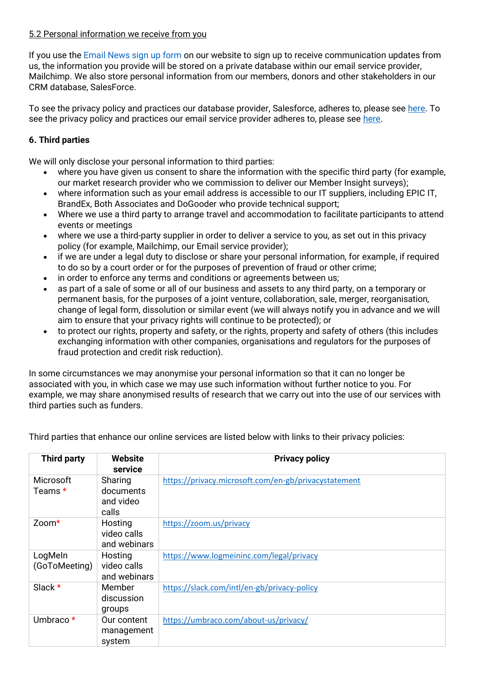#### 5.2 Personal information we receive from you

If you use the [Email News sign up form](http://consumersinternational.us14.list-manage1.com/subscribe?u=253609e664fbef96d36120b08&id=eab7ec67e5) on our website to sign up to receive communication updates from us, the information you provide will be stored on a private database within our email service provider, Mailchimp. We also store personal information from our members, donors and other stakeholders in our CRM database, SalesForce.

To see the privacy policy and practices our database provider, Salesforce, adheres to, please see [here.](https://www.salesforce.com/uk/company/privacy/) To see the privacy policy and practices our email service provider adheres to, please see [here.](https://mailchimp.com/legal/privacy/)

## <span id="page-4-0"></span>**6. Third parties**

We will only disclose your personal information to third parties:

- where you have given us consent to share the information with the specific third party (for example, our market research provider who we commission to deliver our Member Insight surveys);
- where information such as your email address is accessible to our IT suppliers, including EPIC IT, BrandEx, Both Associates and DoGooder who provide technical support;
- Where we use a third party to arrange travel and accommodation to facilitate participants to attend events or meetings
- where we use a third-party supplier in order to deliver a service to you, as set out in this privacy policy (for example, Mailchimp, our Email service provider);
- if we are under a legal duty to disclose or share your personal information, for example, if required to do so by a court order or for the purposes of prevention of fraud or other crime;
- in order to enforce any terms and conditions or agreements between us;
- as part of a sale of some or all of our business and assets to any third party, on a temporary or permanent basis, for the purposes of a joint venture, collaboration, sale, merger, reorganisation, change of legal form, dissolution or similar event (we will always notify you in advance and we will aim to ensure that your privacy rights will continue to be protected); or
- to protect our rights, property and safety, or the rights, property and safety of others (this includes exchanging information with other companies, organisations and regulators for the purposes of fraud protection and credit risk reduction).

In some circumstances we may anonymise your personal information so that it can no longer be associated with you, in which case we may use such information without further notice to you. For example, we may share anonymised results of research that we carry out into the use of our services with third parties such as funders.

| <b>Third party</b>   | Website      | <b>Privacy policy</b>                                |  |  |
|----------------------|--------------|------------------------------------------------------|--|--|
|                      | service      |                                                      |  |  |
| Microsoft            | Sharing      | https://privacy.microsoft.com/en-gb/privacystatement |  |  |
| Teams *              | documents    |                                                      |  |  |
|                      | and video    |                                                      |  |  |
|                      | calls        |                                                      |  |  |
| $Z0$ cm <sup>*</sup> | Hosting      | https://zoom.us/privacy                              |  |  |
|                      | video calls  |                                                      |  |  |
|                      | and webinars |                                                      |  |  |
| LogMeln              | Hosting      | https://www.logmeininc.com/legal/privacy             |  |  |
| (GoToMeeting)        | video calls  |                                                      |  |  |
|                      | and webinars |                                                      |  |  |
| Slack $*$            | Member       | https://slack.com/intl/en-gb/privacy-policy          |  |  |
|                      | discussion   |                                                      |  |  |
|                      | groups       |                                                      |  |  |
| Umbraco *            | Our content  | https://umbraco.com/about-us/privacy/                |  |  |
|                      | management   |                                                      |  |  |
|                      | system       |                                                      |  |  |

Third parties that enhance our online services are listed below with links to their privacy policies: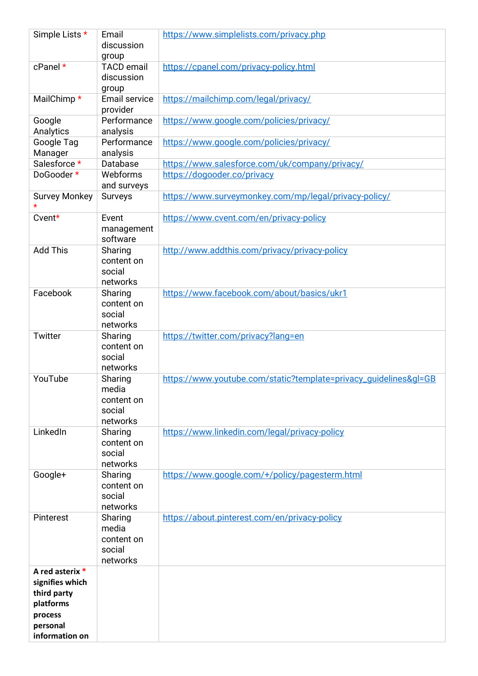| Simple Lists *             | Email                   | https://www.simplelists.com/privacy.php                          |  |  |  |
|----------------------------|-------------------------|------------------------------------------------------------------|--|--|--|
|                            | discussion<br>group     |                                                                  |  |  |  |
| cPanel *                   | <b>TACD</b> email       | https://cpanel.com/privacy-policy.html                           |  |  |  |
|                            | discussion              |                                                                  |  |  |  |
| MailChimp *                | group<br>Email service  | https://mailchimp.com/legal/privacy/                             |  |  |  |
|                            | provider                |                                                                  |  |  |  |
| Google                     | Performance             | https://www.google.com/policies/privacy/                         |  |  |  |
| Analytics                  | analysis                |                                                                  |  |  |  |
| Google Tag<br>Manager      | Performance<br>analysis | https://www.google.com/policies/privacy/                         |  |  |  |
| Salesforce *               | Database                | https://www.salesforce.com/uk/company/privacy/                   |  |  |  |
| DoGooder *                 | Webforms                | https://dogooder.co/privacy                                      |  |  |  |
|                            | and surveys             |                                                                  |  |  |  |
| <b>Survey Monkey</b>       | Surveys                 | https://www.surveymonkey.com/mp/legal/privacy-policy/            |  |  |  |
| Cvent*                     | Event                   | https://www.cvent.com/en/privacy-policy                          |  |  |  |
|                            | management<br>software  |                                                                  |  |  |  |
| <b>Add This</b>            | Sharing                 | http://www.addthis.com/privacy/privacy-policy                    |  |  |  |
|                            | content on              |                                                                  |  |  |  |
|                            | social<br>networks      |                                                                  |  |  |  |
| Facebook                   | Sharing                 | https://www.facebook.com/about/basics/ukr1                       |  |  |  |
|                            | content on              |                                                                  |  |  |  |
|                            | social                  |                                                                  |  |  |  |
|                            | networks                |                                                                  |  |  |  |
| Twitter                    | Sharing                 | https://twitter.com/privacy?lang=en                              |  |  |  |
|                            | content on<br>social    |                                                                  |  |  |  |
|                            | networks                |                                                                  |  |  |  |
| YouTube                    | Sharing                 | https://www.youtube.com/static?template=privacy_quidelines&ql=GB |  |  |  |
|                            | media                   |                                                                  |  |  |  |
|                            | content on              |                                                                  |  |  |  |
|                            | social<br>networks      |                                                                  |  |  |  |
| LinkedIn                   | Sharing                 | https://www.linkedin.com/legal/privacy-policy                    |  |  |  |
|                            | content on              |                                                                  |  |  |  |
|                            | social                  |                                                                  |  |  |  |
|                            | networks                |                                                                  |  |  |  |
| Google+                    | Sharing                 | https://www.google.com/+/policy/pagesterm.html                   |  |  |  |
|                            | content on<br>social    |                                                                  |  |  |  |
|                            | networks                |                                                                  |  |  |  |
| Pinterest                  | Sharing                 | https://about.pinterest.com/en/privacy-policy                    |  |  |  |
|                            | media                   |                                                                  |  |  |  |
|                            | content on              |                                                                  |  |  |  |
|                            | social<br>networks      |                                                                  |  |  |  |
| A red asterix *            |                         |                                                                  |  |  |  |
| signifies which            |                         |                                                                  |  |  |  |
| third party                |                         |                                                                  |  |  |  |
| platforms                  |                         |                                                                  |  |  |  |
| process                    |                         |                                                                  |  |  |  |
| personal<br>information on |                         |                                                                  |  |  |  |
|                            |                         |                                                                  |  |  |  |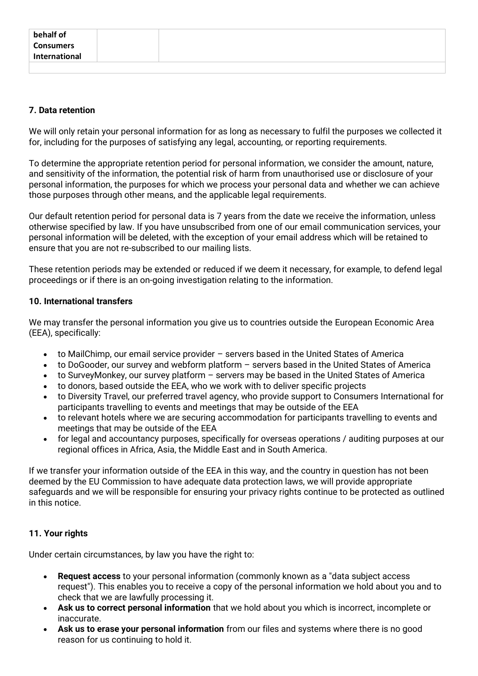| behalf of        |  |  |  |
|------------------|--|--|--|
| <b>Consumers</b> |  |  |  |
| International    |  |  |  |
|                  |  |  |  |

#### <span id="page-6-0"></span>**7. Data retention**

We will only retain your personal information for as long as necessary to fulfil the purposes we collected it for, including for the purposes of satisfying any legal, accounting, or reporting requirements.

To determine the appropriate retention period for personal information, we consider the amount, nature, and sensitivity of the information, the potential risk of harm from unauthorised use or disclosure of your personal information, the purposes for which we process your personal data and whether we can achieve those purposes through other means, and the applicable legal requirements.

Our default retention period for personal data is 7 years from the date we receive the information, unless otherwise specified by law. If you have unsubscribed from one of our email communication services, your personal information will be deleted, with the exception of your email address which will be retained to ensure that you are not re-subscribed to our mailing lists.

These retention periods may be extended or reduced if we deem it necessary, for example, to defend legal proceedings or if there is an on-going investigation relating to the information.

#### <span id="page-6-1"></span>**10. International transfers**

We may transfer the personal information you give us to countries outside the European Economic Area (EEA), specifically:

- to MailChimp, our email service provider servers based in the United States of America
- to DoGooder, our survey and webform platform servers based in the United States of America
- to SurveyMonkey, our survey platform servers may be based in the United States of America
- to donors, based outside the EEA, who we work with to deliver specific projects
- to Diversity Travel, our preferred travel agency, who provide support to Consumers International for participants travelling to events and meetings that may be outside of the EEA
- to relevant hotels where we are securing accommodation for participants travelling to events and meetings that may be outside of the EEA
- for legal and accountancy purposes, specifically for overseas operations / auditing purposes at our regional offices in Africa, Asia, the Middle East and in South America.

If we transfer your information outside of the EEA in this way, and the country in question has not been deemed by the EU Commission to have adequate data protection laws, we will provide appropriate safeguards and we will be responsible for ensuring your privacy rights continue to be protected as outlined in this notice.

## <span id="page-6-2"></span>**11. Your rights**

Under certain circumstances, by law you have the right to:

- **Request access** to your personal information (commonly known as a "data subject access request"). This enables you to receive a copy of the personal information we hold about you and to check that we are lawfully processing it.
- **Ask us to correct personal information** that we hold about you which is incorrect, incomplete or inaccurate.
- **Ask us to erase your personal information** from our files and systems where there is no good reason for us continuing to hold it.